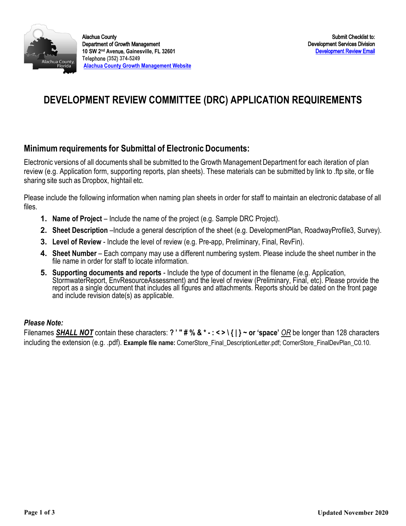

# **DEVELOPMENT REVIEW COMMITTEE (DRC) APPLICATION REQUIREMENTS**

### **Minimum requirements for Submittal of Electronic Documents:**

 Electronic versions of all documents shall be submitted to the Growth Management Department for each iteration of plan review (e.g. Application form, supporting reports, plan sheets). These materials can be submitted by link to .ftp site, or file sharing site such as Dropbox, hightail etc.

 Please include the following information when naming plan sheets in order for staff to maintain an electronic database of all files.

- **1. Name of Project**  Include the name of the project (e.g. Sample DRC Project).
- **2. Sheet Description** –Include a general description of the sheet (e.g. DevelopmentPlan, RoadwayProfile3, Survey).
- **3. Level of Review**  Include the level of review (e.g. Pre-app, Preliminary, Final, RevFin).
- **4. Sheet Number**  Each company may use a different numbering system. Please include the sheet number in the file name in order for staff to locate information.
- StormwaterReport, EnvResourceAssessment) and the level of review (Preliminary, Final, etc). Please provide the **5. Supporting documents and reports** - Include the type of document in the filename (e.g. Application, report as a single document that includes all figures and attachments. Reports should be dated on the front page and include revision date(s) as applicable.

#### *Please Note:*

Filenames *SHALL NOT* contain these characters: **? ' " # % & \* - : < > \ { | } ~ or 'space'** *OR* be longer than 128 characters including the extension (e.g. .pdf). **Example file name:** CornerStore\_Final\_DescriptionLetter.pdf; CornerStore\_FinalDevPlan\_C0.10.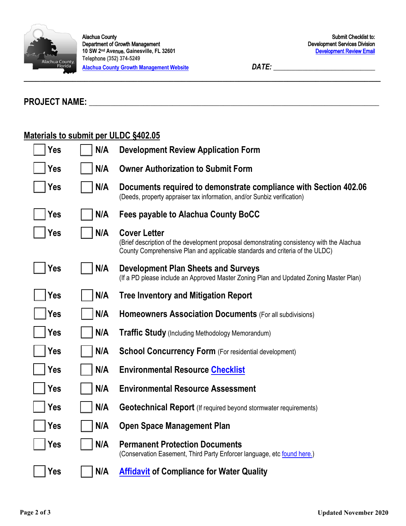

 Department of Growth Management  **10 SW 2nd Ave**nue**, Gainesville, FL 32601**  Alachua County **Tel**ephone (**352**) **374**-**5249 [Alachua County Growth Management Website](http://growth-management.alachuacounty.us/)** *DATE: \_\_\_\_\_\_\_\_\_\_\_\_\_\_\_\_\_\_\_\_\_\_\_\_\_\_\_\_* 

# **PROJECT NAME:** \_\_\_\_\_\_\_\_\_\_\_\_\_\_\_\_\_\_\_\_\_\_\_\_\_\_\_\_\_\_\_\_\_\_\_\_\_\_\_\_\_\_\_\_\_\_\_\_\_\_\_\_\_\_\_\_\_\_\_\_\_\_\_\_\_\_\_\_\_\_\_\_\_\_\_\_\_\_\_\_

### **Materials to submit per ULDC §402.05**

| Yes        | N/A | <b>Development Review Application Form</b>                                                                                                                                                       |
|------------|-----|--------------------------------------------------------------------------------------------------------------------------------------------------------------------------------------------------|
| Yes        | N/A | <b>Owner Authorization to Submit Form</b>                                                                                                                                                        |
| <b>Yes</b> | N/A | Documents required to demonstrate compliance with Section 402.06<br>(Deeds, property appraiser tax information, and/or Sunbiz verification)                                                      |
| <b>Yes</b> | N/A | Fees payable to Alachua County BoCC                                                                                                                                                              |
| Yes        | N/A | <b>Cover Letter</b><br>(Brief description of the development proposal demonstrating consistency with the Alachua<br>County Comprehensive Plan and applicable standards and criteria of the ULDC) |
| <b>Yes</b> | N/A | <b>Development Plan Sheets and Surveys</b><br>(If a PD please include an Approved Master Zoning Plan and Updated Zoning Master Plan)                                                             |
| <b>Yes</b> | N/A | <b>Tree Inventory and Mitigation Report</b>                                                                                                                                                      |
| Yes        | N/A | Homeowners Association Documents (For all subdivisions)                                                                                                                                          |
| Yes        | N/A | Traffic Study (Including Methodology Memorandum)                                                                                                                                                 |
| Yes        | N/A | <b>School Concurrency Form (For residential development)</b>                                                                                                                                     |
| Yes        | N/A | <b>Environmental Resource Checklist</b>                                                                                                                                                          |
| Yes        | N/A | <b>Environmental Resource Assessment</b>                                                                                                                                                         |
| Yes        | N/A | <b>Geotechnical Report</b> (If required beyond stormwater requirements)                                                                                                                          |
| Yes        | N/A | <b>Open Space Management Plan</b>                                                                                                                                                                |
| Yes        | N/A | <b>Permanent Protection Documents</b><br>(Conservation Easement, Third Party Enforcer language, etc found here.)                                                                                 |
| <b>Yes</b> | N/A | <b>Affidavit of Compliance for Water Quality</b>                                                                                                                                                 |